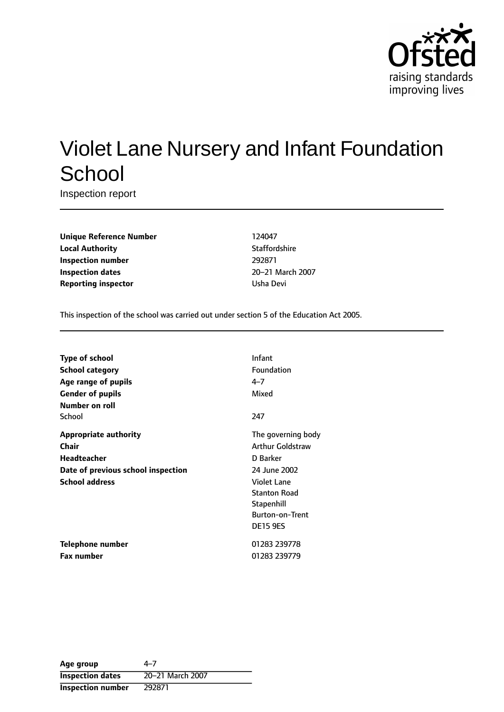

# Violet Lane Nursery and Infant Foundation **School**

Inspection report

**Unique Reference Number** 124047 **Local Authority Contract Contract Contract Authority** Staffordshire **Inspection number** 292871 **Inspection dates** 20-21 March 2007 **Reporting inspector and COVID-10** Usha Devi

This inspection of the school was carried out under section 5 of the Education Act 2005.

| <b>Type of school</b>              | <b>Infant</b>           |
|------------------------------------|-------------------------|
| School category                    | Foundation              |
| Age range of pupils                | $4 - 7$                 |
| <b>Gender of pupils</b>            | Mixed                   |
| Number on roll                     |                         |
| School                             | 247                     |
| <b>Appropriate authority</b>       | The governing body      |
| Chair                              | <b>Arthur Goldstraw</b> |
| <b>Headteacher</b>                 | D Barker                |
| Date of previous school inspection | 24 June 2002            |
| <b>School address</b>              | <b>Violet Lane</b>      |
|                                    | <b>Stanton Road</b>     |
|                                    | Stapenhill              |
|                                    | <b>Burton-on-Trent</b>  |
|                                    | <b>DE15 9ES</b>         |
| Telephone number                   | 01283 239778            |
| <b>Fax number</b>                  | 01283 239779            |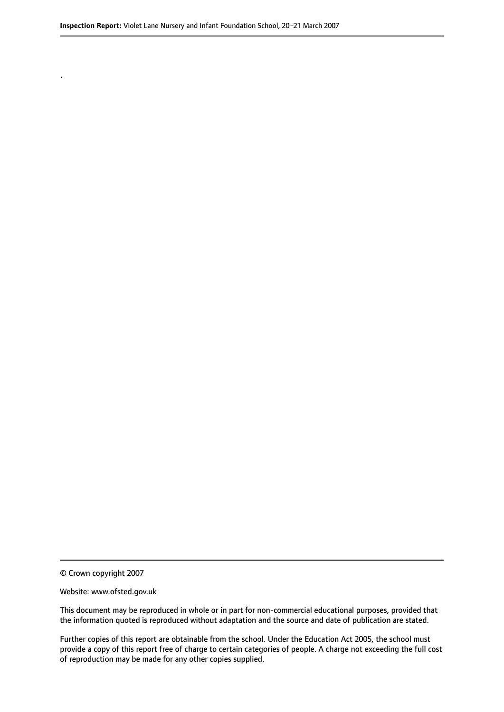© Crown copyright 2007

.

#### Website: www.ofsted.gov.uk

This document may be reproduced in whole or in part for non-commercial educational purposes, provided that the information quoted is reproduced without adaptation and the source and date of publication are stated.

Further copies of this report are obtainable from the school. Under the Education Act 2005, the school must provide a copy of this report free of charge to certain categories of people. A charge not exceeding the full cost of reproduction may be made for any other copies supplied.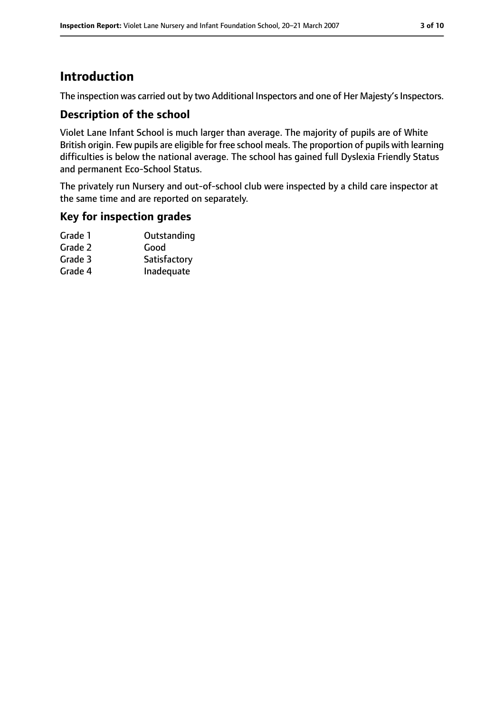# **Introduction**

The inspection was carried out by two Additional Inspectors and one of Her Majesty's Inspectors.

## **Description of the school**

Violet Lane Infant School is much larger than average. The majority of pupils are of White British origin. Few pupils are eligible for free school meals. The proportion of pupils with learning difficulties is below the national average. The school has gained full Dyslexia Friendly Status and permanent Eco-School Status.

The privately run Nursery and out-of-school club were inspected by a child care inspector at the same time and are reported on separately.

## **Key for inspection grades**

| Grade 1 | Outstanding  |
|---------|--------------|
| Grade 2 | Good         |
| Grade 3 | Satisfactory |
| Grade 4 | Inadequate   |
|         |              |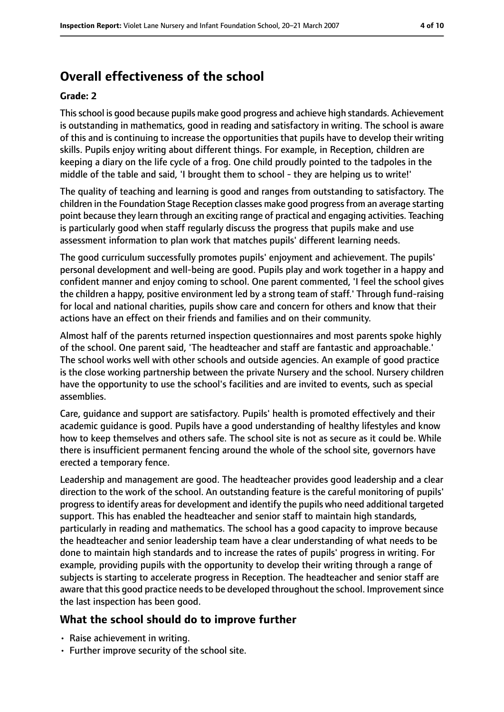# **Overall effectiveness of the school**

#### **Grade: 2**

Thisschool is good because pupils make good progress and achieve high standards. Achievement is outstanding in mathematics, good in reading and satisfactory in writing. The school is aware of this and is continuing to increase the opportunities that pupils have to develop their writing skills. Pupils enjoy writing about different things. For example, in Reception, children are keeping a diary on the life cycle of a frog. One child proudly pointed to the tadpoles in the middle of the table and said, 'I brought them to school - they are helping us to write!'

The quality of teaching and learning is good and ranges from outstanding to satisfactory. The children in the Foundation Stage Reception classes make good progressfrom an average starting point because they learn through an exciting range of practical and engaging activities. Teaching is particularly good when staff regularly discuss the progress that pupils make and use assessment information to plan work that matches pupils' different learning needs.

The good curriculum successfully promotes pupils' enjoyment and achievement. The pupils' personal development and well-being are good. Pupils play and work together in a happy and confident manner and enjoy coming to school. One parent commented, 'I feel the school gives the children a happy, positive environment led by a strong team of staff.' Through fund-raising for local and national charities, pupils show care and concern for others and know that their actions have an effect on their friends and families and on their community.

Almost half of the parents returned inspection questionnaires and most parents spoke highly of the school. One parent said, 'The headteacher and staff are fantastic and approachable.' The school works well with other schools and outside agencies. An example of good practice is the close working partnership between the private Nursery and the school. Nursery children have the opportunity to use the school's facilities and are invited to events, such as special assemblies.

Care, guidance and support are satisfactory. Pupils' health is promoted effectively and their academic guidance is good. Pupils have a good understanding of healthy lifestyles and know how to keep themselves and others safe. The school site is not as secure as it could be. While there is insufficient permanent fencing around the whole of the school site, governors have erected a temporary fence.

Leadership and management are good. The headteacher provides good leadership and a clear direction to the work of the school. An outstanding feature is the careful monitoring of pupils' progress to identify areas for development and identify the pupils who need additional targeted support. This has enabled the headteacher and senior staff to maintain high standards, particularly in reading and mathematics. The school has a good capacity to improve because the headteacher and senior leadership team have a clear understanding of what needs to be done to maintain high standards and to increase the rates of pupils' progress in writing. For example, providing pupils with the opportunity to develop their writing through a range of subjects is starting to accelerate progress in Reception. The headteacher and senior staff are aware that this good practice needs to be developed throughout the school. Improvement since the last inspection has been good.

# **What the school should do to improve further**

- Raise achievement in writing.
- Further improve security of the school site.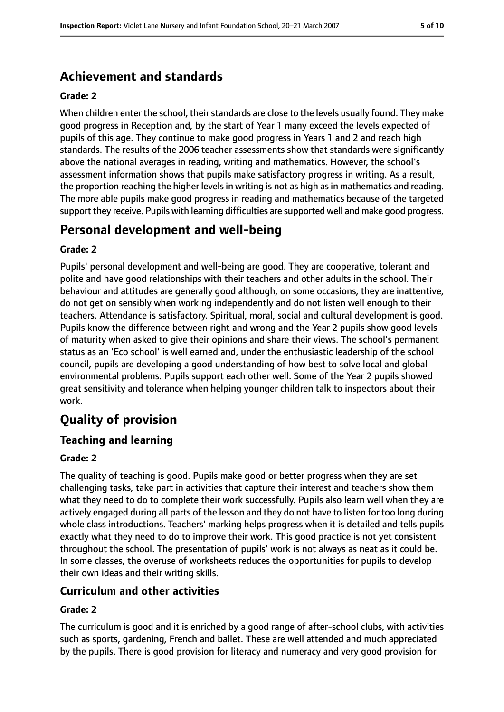# **Achievement and standards**

#### **Grade: 2**

When children enter the school, their standards are close to the levels usually found. They make good progress in Reception and, by the start of Year 1 many exceed the levels expected of pupils of this age. They continue to make good progress in Years 1 and 2 and reach high standards. The results of the 2006 teacher assessments show that standards were significantly above the national averages in reading, writing and mathematics. However, the school's assessment information shows that pupils make satisfactory progress in writing. As a result, the proportion reaching the higher levels in writing is not as high as in mathematics and reading. The more able pupils make good progress in reading and mathematics because of the targeted support they receive. Pupils with learning difficulties are supported well and make good progress.

# **Personal development and well-being**

#### **Grade: 2**

Pupils' personal development and well-being are good. They are cooperative, tolerant and polite and have good relationships with their teachers and other adults in the school. Their behaviour and attitudes are generally good although, on some occasions, they are inattentive, do not get on sensibly when working independently and do not listen well enough to their teachers. Attendance is satisfactory. Spiritual, moral, social and cultural development is good. Pupils know the difference between right and wrong and the Year 2 pupils show good levels of maturity when asked to give their opinions and share their views. The school's permanent status as an 'Eco school' is well earned and, under the enthusiastic leadership of the school council, pupils are developing a good understanding of how best to solve local and global environmental problems. Pupils support each other well. Some of the Year 2 pupils showed great sensitivity and tolerance when helping younger children talk to inspectors about their work.

# **Quality of provision**

## **Teaching and learning**

#### **Grade: 2**

The quality of teaching is good. Pupils make good or better progress when they are set challenging tasks, take part in activities that capture their interest and teachers show them what they need to do to complete their work successfully. Pupils also learn well when they are actively engaged during all parts of the lesson and they do not have to listen for too long during whole class introductions. Teachers' marking helps progress when it is detailed and tells pupils exactly what they need to do to improve their work. This good practice is not yet consistent throughout the school. The presentation of pupils' work is not always as neat as it could be. In some classes, the overuse of worksheets reduces the opportunities for pupils to develop their own ideas and their writing skills.

## **Curriculum and other activities**

#### **Grade: 2**

The curriculum is good and it is enriched by a good range of after-school clubs, with activities such as sports, gardening, French and ballet. These are well attended and much appreciated by the pupils. There is good provision for literacy and numeracy and very good provision for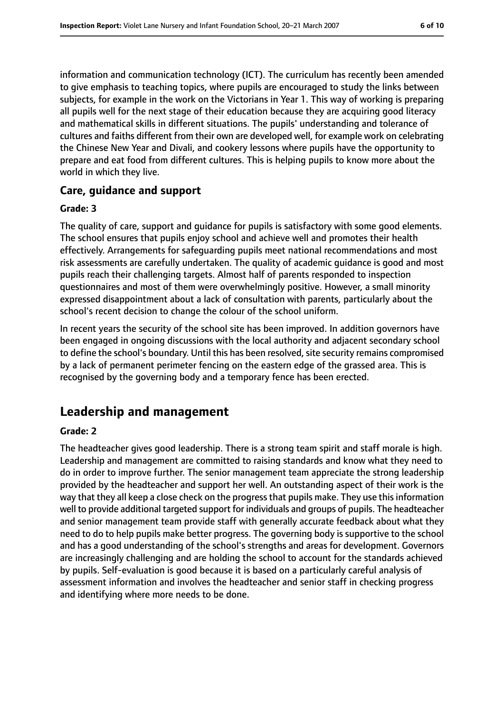information and communication technology (ICT). The curriculum has recently been amended to give emphasis to teaching topics, where pupils are encouraged to study the links between subjects, for example in the work on the Victorians in Year 1. This way of working is preparing all pupils well for the next stage of their education because they are acquiring good literacy and mathematical skills in different situations. The pupils' understanding and tolerance of cultures and faiths different from their own are developed well, for example work on celebrating the Chinese New Year and Divali, and cookery lessons where pupils have the opportunity to prepare and eat food from different cultures. This is helping pupils to know more about the world in which they live.

#### **Care, guidance and support**

#### **Grade: 3**

The quality of care, support and guidance for pupils is satisfactory with some good elements. The school ensures that pupils enjoy school and achieve well and promotes their health effectively. Arrangements for safeguarding pupils meet national recommendations and most risk assessments are carefully undertaken. The quality of academic guidance is good and most pupils reach their challenging targets. Almost half of parents responded to inspection questionnaires and most of them were overwhelmingly positive. However, a small minority expressed disappointment about a lack of consultation with parents, particularly about the school's recent decision to change the colour of the school uniform.

In recent years the security of the school site has been improved. In addition governors have been engaged in ongoing discussions with the local authority and adjacent secondary school to define the school's boundary. Until this has been resolved, site security remains compromised by a lack of permanent perimeter fencing on the eastern edge of the grassed area. This is recognised by the governing body and a temporary fence has been erected.

# **Leadership and management**

#### **Grade: 2**

The headteacher gives good leadership. There is a strong team spirit and staff morale is high. Leadership and management are committed to raising standards and know what they need to do in order to improve further. The senior management team appreciate the strong leadership provided by the headteacher and support her well. An outstanding aspect of their work is the way that they all keep a close check on the progress that pupils make. They use this information well to provide additional targeted support for individuals and groups of pupils. The headteacher and senior management team provide staff with generally accurate feedback about what they need to do to help pupils make better progress. The governing body is supportive to the school and has a good understanding of the school's strengths and areas for development. Governors are increasingly challenging and are holding the school to account for the standards achieved by pupils. Self-evaluation is good because it is based on a particularly careful analysis of assessment information and involves the headteacher and senior staff in checking progress and identifying where more needs to be done.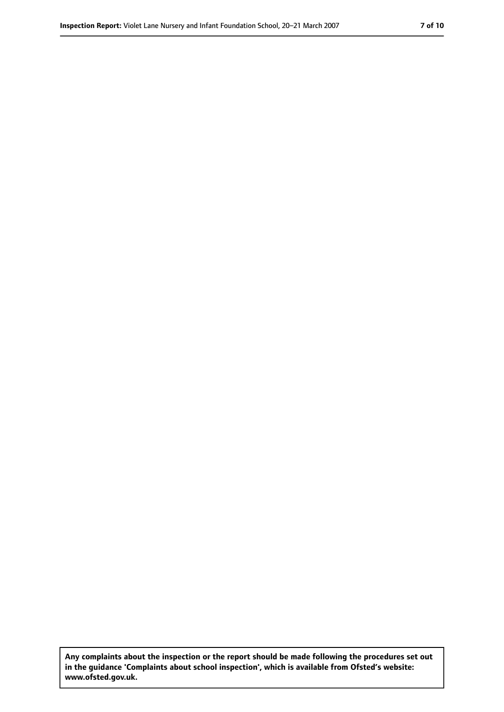**Any complaints about the inspection or the report should be made following the procedures set out in the guidance 'Complaints about school inspection', which is available from Ofsted's website: www.ofsted.gov.uk.**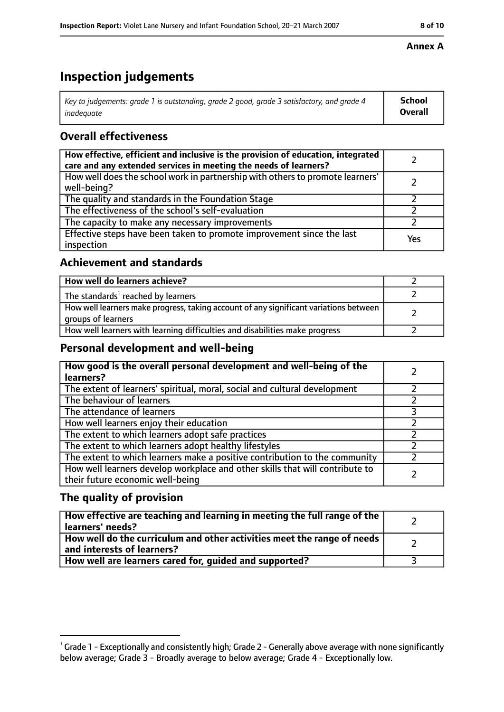# **Inspection judgements**

| $^{\rm t}$ Key to judgements: grade 1 is outstanding, grade 2 good, grade 3 satisfactory, and grade 4 | School         |
|-------------------------------------------------------------------------------------------------------|----------------|
| inadeauate                                                                                            | <b>Overall</b> |

# **Overall effectiveness**

| How effective, efficient and inclusive is the provision of education, integrated<br>care and any extended services in meeting the needs of learners? |     |
|------------------------------------------------------------------------------------------------------------------------------------------------------|-----|
| How well does the school work in partnership with others to promote learners'<br>well-being?                                                         |     |
| The quality and standards in the Foundation Stage                                                                                                    |     |
| The effectiveness of the school's self-evaluation                                                                                                    |     |
| The capacity to make any necessary improvements                                                                                                      |     |
| Effective steps have been taken to promote improvement since the last<br>inspection                                                                  | Yes |

# **Achievement and standards**

| How well do learners achieve?                                                                               |  |
|-------------------------------------------------------------------------------------------------------------|--|
| The standards <sup>1</sup> reached by learners                                                              |  |
| How well learners make progress, taking account of any significant variations between<br>groups of learners |  |
| How well learners with learning difficulties and disabilities make progress                                 |  |

# **Personal development and well-being**

| How good is the overall personal development and well-being of the<br>learners?                                  |  |
|------------------------------------------------------------------------------------------------------------------|--|
| The extent of learners' spiritual, moral, social and cultural development                                        |  |
| The behaviour of learners                                                                                        |  |
| The attendance of learners                                                                                       |  |
| How well learners enjoy their education                                                                          |  |
| The extent to which learners adopt safe practices                                                                |  |
| The extent to which learners adopt healthy lifestyles                                                            |  |
| The extent to which learners make a positive contribution to the community                                       |  |
| How well learners develop workplace and other skills that will contribute to<br>their future economic well-being |  |

# **The quality of provision**

| How effective are teaching and learning in meeting the full range of the<br>learners' needs?          |  |
|-------------------------------------------------------------------------------------------------------|--|
| How well do the curriculum and other activities meet the range of needs<br>and interests of learners? |  |
| How well are learners cared for, guided and supported?                                                |  |

## **Annex A**

 $^1$  Grade 1 - Exceptionally and consistently high; Grade 2 - Generally above average with none significantly below average; Grade 3 - Broadly average to below average; Grade 4 - Exceptionally low.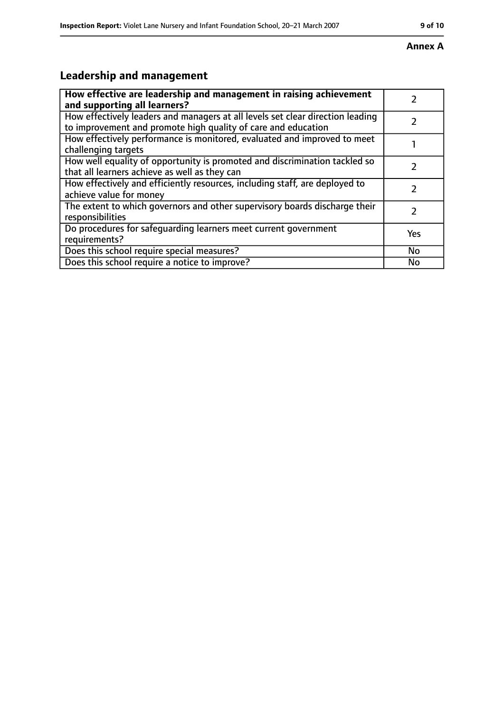### **Annex A**

# **Leadership and management**

| How effective are leadership and management in raising achievement<br>and supporting all learners?                                              |     |
|-------------------------------------------------------------------------------------------------------------------------------------------------|-----|
| How effectively leaders and managers at all levels set clear direction leading<br>to improvement and promote high quality of care and education |     |
| How effectively performance is monitored, evaluated and improved to meet<br>challenging targets                                                 |     |
| How well equality of opportunity is promoted and discrimination tackled so<br>that all learners achieve as well as they can                     |     |
| How effectively and efficiently resources, including staff, are deployed to<br>achieve value for money                                          | 7   |
| The extent to which governors and other supervisory boards discharge their<br>responsibilities                                                  | 7   |
| Do procedures for safequarding learners meet current government<br>requirements?                                                                | Yes |
| Does this school require special measures?                                                                                                      | No  |
| Does this school require a notice to improve?                                                                                                   | No  |